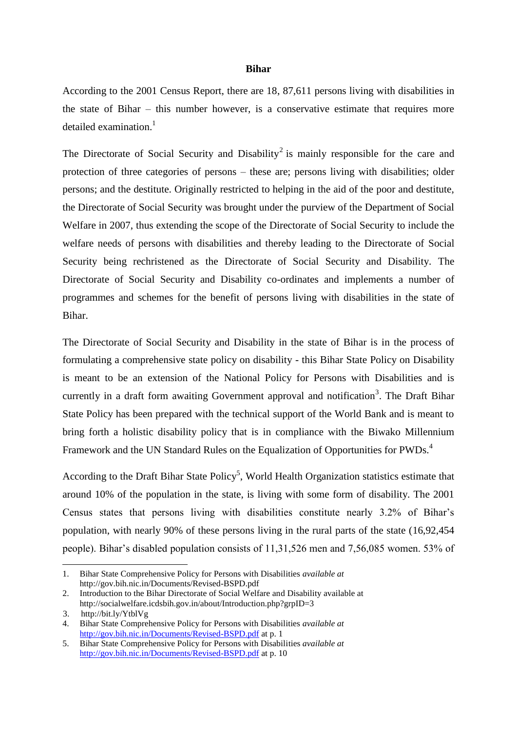#### **Bihar**

According to the 2001 Census Report, there are 18, 87,611 persons living with disabilities in the state of Bihar – this number however, is a conservative estimate that requires more detailed examination.<sup>1</sup>

The Directorate of Social Security and Disability<sup>2</sup> is mainly responsible for the care and protection of three categories of persons – these are; persons living with disabilities; older persons; and the destitute. Originally restricted to helping in the aid of the poor and destitute, the Directorate of Social Security was brought under the purview of the Department of Social Welfare in 2007, thus extending the scope of the Directorate of Social Security to include the welfare needs of persons with disabilities and thereby leading to the Directorate of Social Security being rechristened as the Directorate of Social Security and Disability. The Directorate of Social Security and Disability co-ordinates and implements a number of programmes and schemes for the benefit of persons living with disabilities in the state of Bihar.

The Directorate of Social Security and Disability in the state of Bihar is in the process of formulating a comprehensive state policy on disability - this Bihar State Policy on Disability is meant to be an extension of the National Policy for Persons with Disabilities and is currently in a draft form awaiting Government approval and notification<sup>3</sup>. The Draft Bihar State Policy has been prepared with the technical support of the World Bank and is meant to bring forth a holistic disability policy that is in compliance with the Biwako Millennium Framework and the UN Standard Rules on the Equalization of Opportunities for PWDs.<sup>4</sup>

According to the Draft Bihar State Policy<sup>5</sup>, World Health Organization statistics estimate that around 10% of the population in the state, is living with some form of disability. The 2001 Census states that persons living with disabilities constitute nearly 3.2% of Bihar's population, with nearly 90% of these persons living in the rural parts of the state (16,92,454 people). Bihar's disabled population consists of 11,31,526 men and 7,56,085 women. 53% of

-

<sup>1.</sup> Bihar State Comprehensive Policy for Persons with Disabilities *available at* http://gov.bih.nic.in/Documents/Revised-BSPD.pdf

<sup>2.</sup> Introduction to the Bihar Directorate of Social Welfare and Disability available at http://socialwelfare.icdsbih.gov.in/about/Introduction.php?grpID=3

 <sup>3.</sup> http://bit.ly/YtblVg

<sup>4.</sup> Bihar State Comprehensive Policy for Persons with Disabilities *available at* <http://gov.bih.nic.in/Documents/Revised-BSPD.pdf> at p. 1

<sup>5.</sup> Bihar State Comprehensive Policy for Persons with Disabilities *available at* <http://gov.bih.nic.in/Documents/Revised-BSPD.pdf> at p. 10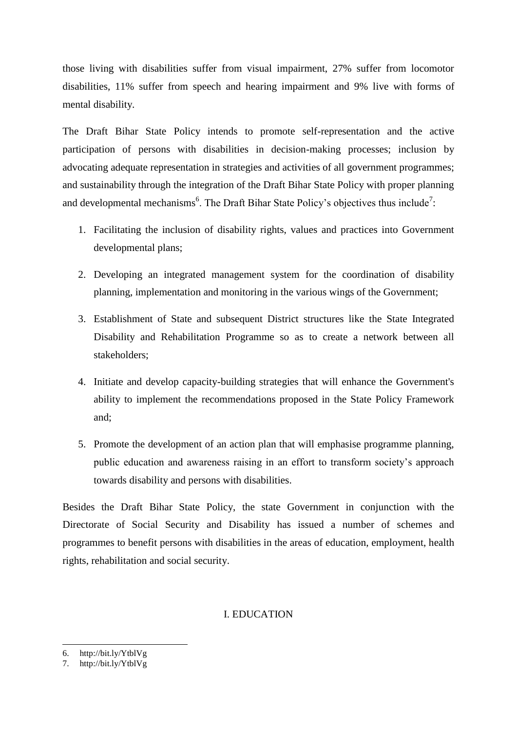those living with disabilities suffer from visual impairment, 27% suffer from locomotor disabilities, 11% suffer from speech and hearing impairment and 9% live with forms of mental disability.

The Draft Bihar State Policy intends to promote self-representation and the active participation of persons with disabilities in decision-making processes; inclusion by advocating adequate representation in strategies and activities of all government programmes; and sustainability through the integration of the Draft Bihar State Policy with proper planning and developmental mechanisms<sup>6</sup>. The Draft Bihar State Policy's objectives thus include<sup>7</sup>:

- 1. Facilitating the inclusion of disability rights, values and practices into Government developmental plans;
- 2. Developing an integrated management system for the coordination of disability planning, implementation and monitoring in the various wings of the Government;
- 3. Establishment of State and subsequent District structures like the State Integrated Disability and Rehabilitation Programme so as to create a network between all stakeholders;
- 4. Initiate and develop capacity-building strategies that will enhance the Government's ability to implement the recommendations proposed in the State Policy Framework and;
- 5. Promote the development of an action plan that will emphasise programme planning, public education and awareness raising in an effort to transform society's approach towards disability and persons with disabilities.

Besides the Draft Bihar State Policy, the state Government in conjunction with the Directorate of Social Security and Disability has issued a number of schemes and programmes to benefit persons with disabilities in the areas of education, employment, health rights, rehabilitation and social security.

# I. EDUCATION

.<br>-

<sup>6.</sup> http://bit.ly/YtblVg

<sup>7.</sup> http://bit.ly/YtblVg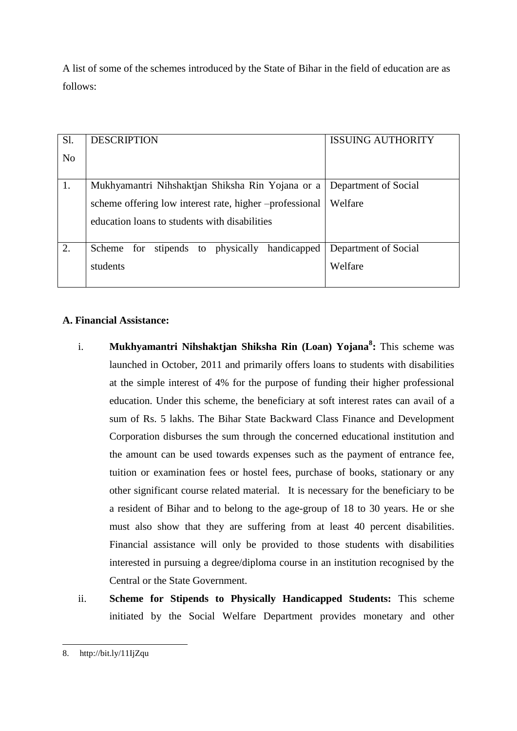A list of some of the schemes introduced by the State of Bihar in the field of education are as follows:

| Sl.            | <b>DESCRIPTION</b>                                      | <b>ISSUING AUTHORITY</b> |
|----------------|---------------------------------------------------------|--------------------------|
|                |                                                         |                          |
| N <sub>o</sub> |                                                         |                          |
|                |                                                         |                          |
|                |                                                         |                          |
| 1.             | Mukhyamantri Nihshaktjan Shiksha Rin Yojana or a        | Department of Social     |
|                |                                                         |                          |
|                |                                                         | Welfare                  |
|                | scheme offering low interest rate, higher -professional |                          |
|                |                                                         |                          |
|                | education loans to students with disabilities           |                          |
|                |                                                         |                          |
|                |                                                         |                          |
| 2.             | Scheme for stipends to physically handicapped           | Department of Social     |
|                |                                                         |                          |
|                | students                                                | Welfare                  |
|                |                                                         |                          |
|                |                                                         |                          |

# **A. Financial Assistance:**

- i. **Mukhyamantri Nihshaktjan Shiksha Rin (Loan) Yojana<sup>8</sup> :** This scheme was launched in October, 2011 and primarily offers loans to students with disabilities at the simple interest of 4% for the purpose of funding their higher professional education. Under this scheme, the beneficiary at soft interest rates can avail of a sum of Rs. 5 lakhs. The Bihar State Backward Class Finance and Development Corporation disburses the sum through the concerned educational institution and the amount can be used towards expenses such as the payment of entrance fee, tuition or examination fees or hostel fees, purchase of books, stationary or any other significant course related material. It is necessary for the beneficiary to be a resident of Bihar and to belong to the age-group of 18 to 30 years. He or she must also show that they are suffering from at least 40 percent disabilities. Financial assistance will only be provided to those students with disabilities interested in pursuing a degree/diploma course in an institution recognised by the Central or the State Government.
- ii. **Scheme for Stipends to Physically Handicapped Students:** This scheme initiated by the Social Welfare Department provides monetary and other

<sup>.&</sup>lt;br>-8. http://bit.ly/11IjZqu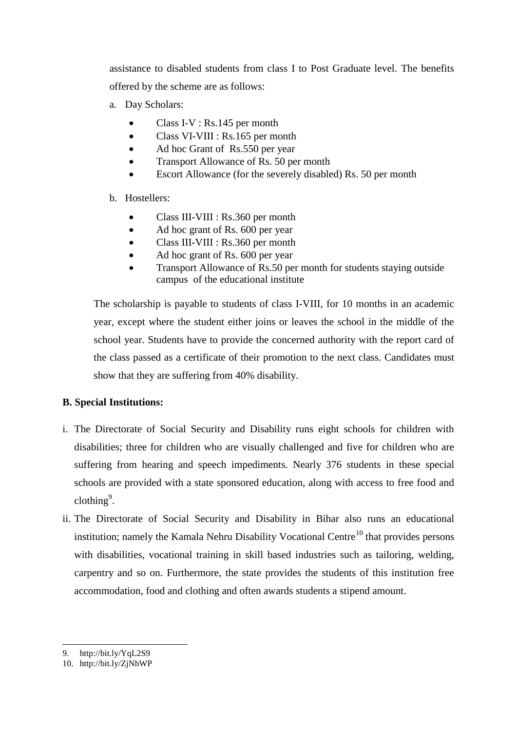assistance to disabled students from class I to Post Graduate level. The benefits offered by the scheme are as follows:

- a. Day Scholars:
	- Class I-V : Rs.145 per month
	- Class VI-VIII : Rs.165 per month
	- Ad hoc Grant of Rs.550 per year
	- Transport Allowance of Rs. 50 per month
	- Escort Allowance (for the severely disabled) Rs. 50 per month

## b. Hostellers:

- Class III-VIII : Rs.360 per month
- Ad hoc grant of Rs. 600 per year
- Class III-VIII : Rs.360 per month
- Ad hoc grant of Rs. 600 per year
- Transport Allowance of Rs.50 per month for students staying outside campus of the educational institute

The scholarship is payable to students of class I-VIII, for 10 months in an academic year, except where the student either joins or leaves the school in the middle of the school year. Students have to provide the concerned authority with the report card of the class passed as a certificate of their promotion to the next class. Candidates must show that they are suffering from 40% disability.

## **B. Special Institutions:**

- i. The Directorate of Social Security and Disability runs eight schools for children with disabilities; three for children who are visually challenged and five for children who are suffering from hearing and speech impediments. Nearly 376 students in these special schools are provided with a state sponsored education, along with access to free food and  $\text{clothing}^9$ .
- ii. The Directorate of Social Security and Disability in Bihar also runs an educational institution; namely the Kamala Nehru Disability Vocational Centre<sup>10</sup> that provides persons with disabilities, vocational training in skill based industries such as tailoring, welding, carpentry and so on. Furthermore, the state provides the students of this institution free accommodation, food and clothing and often awards students a stipend amount.

.<br>-

<sup>9.</sup> http://bit.ly/YqL2S9

<sup>10.</sup> http://bit.ly/ZjNhWP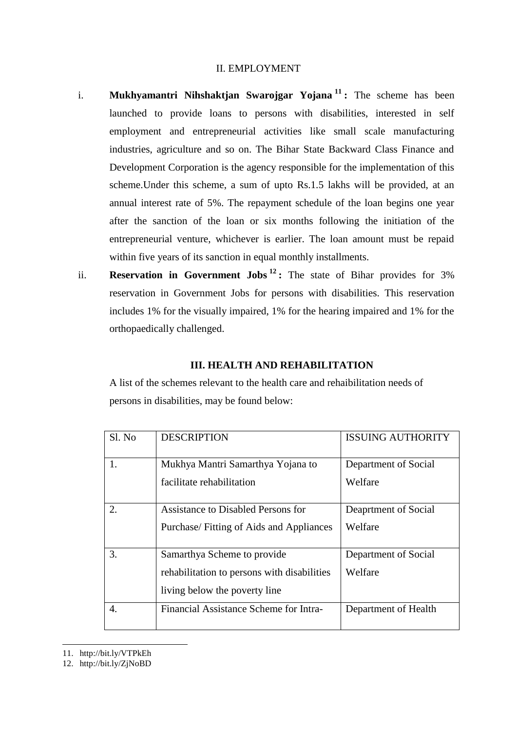#### II. EMPLOYMENT

- i. **Mukhyamantri Nihshaktjan Swarojgar Yojana <sup>11</sup> :** The scheme has been launched to provide loans to persons with disabilities, interested in self employment and entrepreneurial activities like small scale manufacturing industries, agriculture and so on. The Bihar State Backward Class Finance and Development Corporation is the agency responsible for the implementation of this scheme.Under this scheme, a sum of upto Rs.1.5 lakhs will be provided, at an annual interest rate of 5%. The repayment schedule of the loan begins one year after the sanction of the loan or six months following the initiation of the entrepreneurial venture, whichever is earlier. The loan amount must be repaid within five years of its sanction in equal monthly installments.
- ii. **Reservation in Government Jobs <sup>12</sup> :** The state of Bihar provides for 3% reservation in Government Jobs for persons with disabilities. This reservation includes 1% for the visually impaired, 1% for the hearing impaired and 1% for the orthopaedically challenged.

### **III. HEALTH AND REHABILITATION**

A list of the schemes relevant to the health care and rehaibilitation needs of persons in disabilities, may be found below:

| Sl. No | <b>DESCRIPTION</b>                          | <b>ISSUING AUTHORITY</b> |
|--------|---------------------------------------------|--------------------------|
| 1.     | Mukhya Mantri Samarthya Yojana to           | Department of Social     |
|        | facilitate rehabilitation                   | Welfare                  |
| 2.     | Assistance to Disabled Persons for          | Deaprtment of Social     |
|        | Purchase/Fitting of Aids and Appliances     | Welfare                  |
| 3.     | Samarthya Scheme to provide                 | Department of Social     |
|        | rehabilitation to persons with disabilities | Welfare                  |
|        | living below the poverty line               |                          |
| 4.     | Financial Assistance Scheme for Intra-      | Department of Health     |

11. http://bit.ly/VTPkEh

.<br>-

12. http://bit.ly/ZjNoBD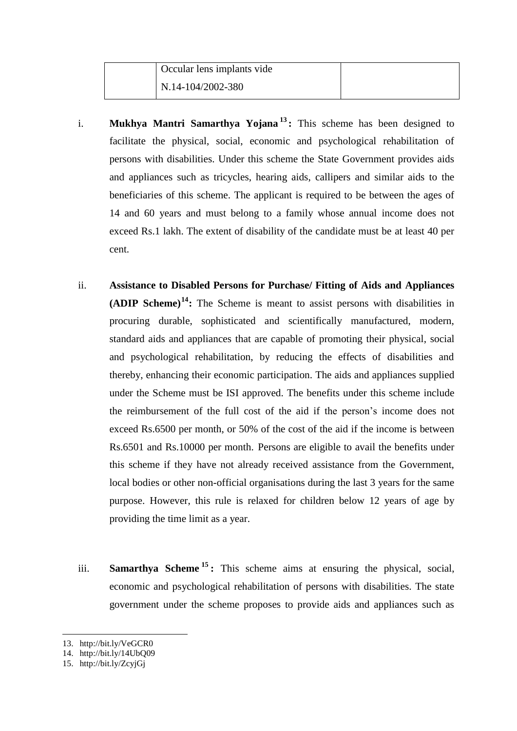- i. **Mukhya Mantri Samarthya Yojana <sup>13</sup> :** This scheme has been designed to facilitate the physical, social, economic and psychological rehabilitation of persons with disabilities. Under this scheme the State Government provides aids and appliances such as tricycles, hearing aids, callipers and similar aids to the beneficiaries of this scheme. The applicant is required to be between the ages of 14 and 60 years and must belong to a family whose annual income does not exceed Rs.1 lakh. The extent of disability of the candidate must be at least 40 per cent.
- ii. **Assistance to Disabled Persons for Purchase/ Fitting of Aids and Appliances (ADIP Scheme)<sup>14</sup>:** The Scheme is meant to assist persons with disabilities in procuring durable, sophisticated and scientifically manufactured, modern, standard aids and appliances that are capable of promoting their physical, social and psychological rehabilitation, by reducing the effects of disabilities and thereby, enhancing their economic participation. The aids and appliances supplied under the Scheme must be ISI approved. The benefits under this scheme include the reimbursement of the full cost of the aid if the person's income does not exceed Rs.6500 per month, or 50% of the cost of the aid if the income is between Rs.6501 and Rs.10000 per month. Persons are eligible to avail the benefits under this scheme if they have not already received assistance from the Government, local bodies or other non-official organisations during the last 3 years for the same purpose. However, this rule is relaxed for children below 12 years of age by providing the time limit as a year.
- iii. **Samarthya Scheme <sup>15</sup> :** This scheme aims at ensuring the physical, social, economic and psychological rehabilitation of persons with disabilities. The state government under the scheme proposes to provide aids and appliances such as

-

<sup>13.</sup> http://bit.ly/VeGCR0

<sup>14.</sup> http://bit.ly/14UbQ09

<sup>15.</sup> http://bit.ly/ZcyjGj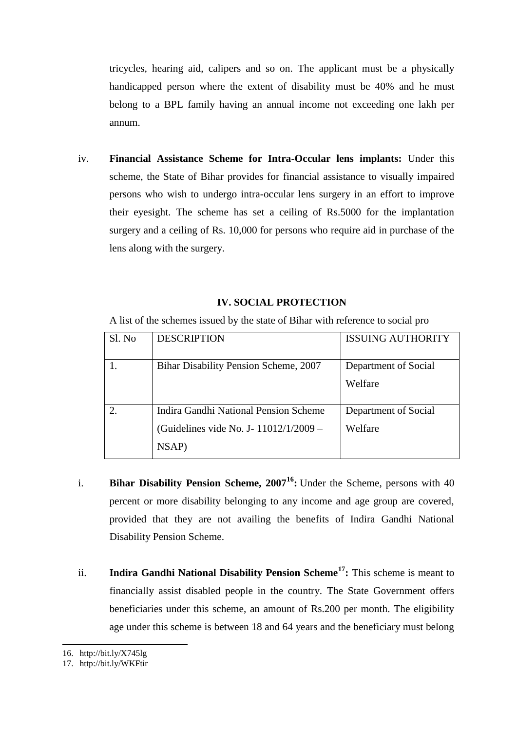tricycles, hearing aid, calipers and so on. The applicant must be a physically handicapped person where the extent of disability must be 40% and he must belong to a BPL family having an annual income not exceeding one lakh per annum.

iv. **Financial Assistance Scheme for Intra-Occular lens implants:** Under this scheme, the State of Bihar provides for financial assistance to visually impaired persons who wish to undergo intra-occular lens surgery in an effort to improve their eyesight. The scheme has set a ceiling of Rs.5000 for the implantation surgery and a ceiling of Rs. 10,000 for persons who require aid in purchase of the lens along with the surgery.

### **IV. SOCIAL PROTECTION**

A list of the schemes issued by the state of Bihar with reference to social pro

| Sl. No | <b>DESCRIPTION</b>                      | <b>ISSUING AUTHORITY</b> |
|--------|-----------------------------------------|--------------------------|
|        | Bihar Disability Pension Scheme, 2007   | Department of Social     |
|        |                                         | Welfare                  |
|        | Indira Gandhi National Pension Scheme   | Department of Social     |
|        | (Guidelines vide No. J - 11012/1/2009 – | Welfare                  |
|        | NSAP)                                   |                          |

- i. **Bihar Disability Pension Scheme, 2007<sup>16</sup>:** Under the Scheme, persons with 40 percent or more disability belonging to any income and age group are covered, provided that they are not availing the benefits of Indira Gandhi National Disability Pension Scheme.
- ii. **Indira Gandhi National Disability Pension Scheme<sup>17</sup>:** This scheme is meant to financially assist disabled people in the country. The State Government offers beneficiaries under this scheme, an amount of Rs.200 per month. The eligibility age under this scheme is between 18 and 64 years and the beneficiary must belong

.<br>-

<sup>16.</sup> http://bit.ly/X745lg

<sup>17.</sup> http://bit.ly/WKFtir